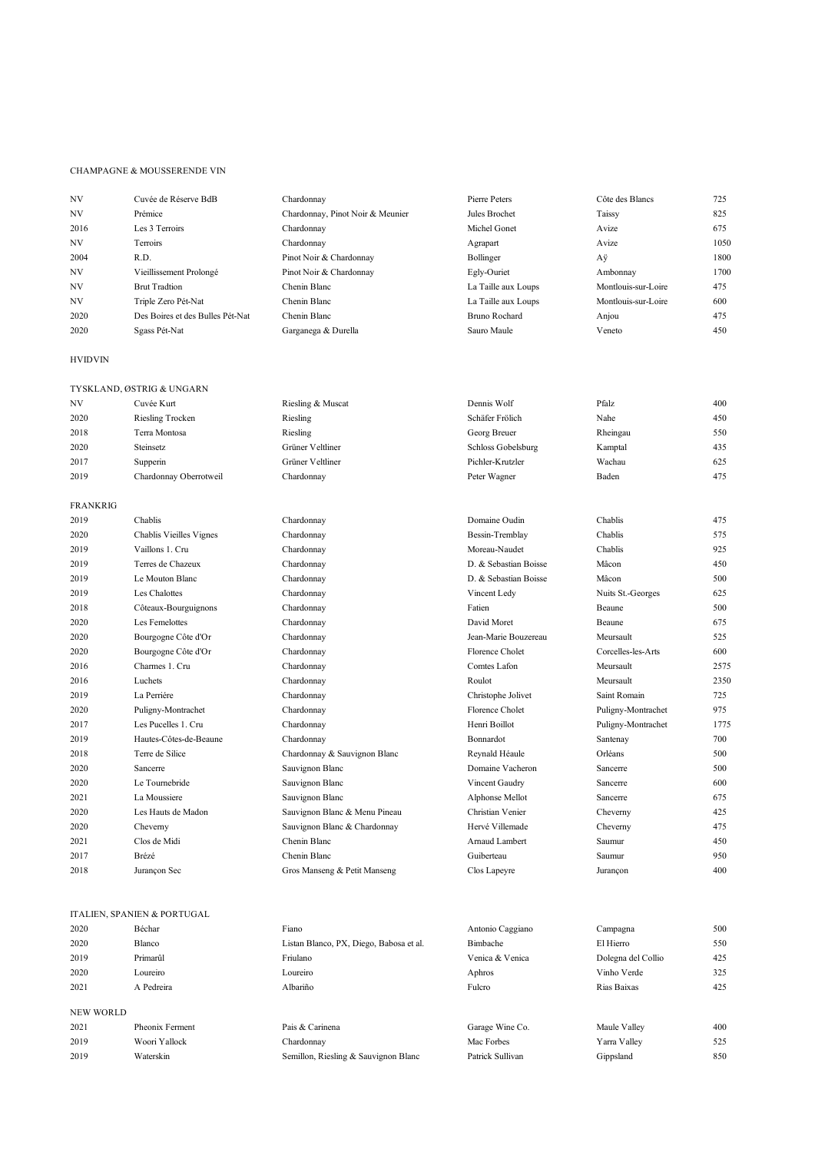## CHAMPAGNE & MOUSSERENDE VIN

| NV        | Cuvée de Réserve BdB             | Chardonnav                       | Pierre Peters       | Côte des Blancs     | 725  |
|-----------|----------------------------------|----------------------------------|---------------------|---------------------|------|
| <b>NV</b> | Prémice                          | Chardonnay, Pinot Noir & Meunier | Jules Brochet       | Taissy              | 825  |
| 2016      | Les 3 Terroirs                   | Chardonnav                       | Michel Gonet        | Avize               | 675  |
| <b>NV</b> | Terroirs                         | Chardonnav                       | Agrapart            | Avize               | 1050 |
| 2004      | R.D.                             | Pinot Noir & Chardonnay          | Bollinger           | Αÿ                  | 1800 |
| <b>NV</b> | Vieillissement Prolongé          | Pinot Noir & Chardonnay          | Egly-Ouriet         | Ambonnay            | 1700 |
| <b>NV</b> | <b>Brut Tradtion</b>             | Chenin Blanc                     | La Taille aux Loups | Montlouis-sur-Loire | 475  |
| <b>NV</b> | Triple Zero Pét-Nat              | Chenin Blanc                     | La Taille aux Loups | Montlouis-sur-Loire | 600  |
| 2020      | Des Boires et des Bulles Pét-Nat | Chenin Blanc                     | Bruno Rochard       | Anjou               | 475  |
| 2020      | Sgass Pét-Nat                    | Garganega & Durella              | Sauro Maule         | Veneto              | 450  |
|           |                                  |                                  |                     |                     |      |

## HVIDVIN

|                 | TYSKLAND, ØSTRIG & UNGARN |                               |                       |                    |      |
|-----------------|---------------------------|-------------------------------|-----------------------|--------------------|------|
| NV              | Cuvée Kurt                | Riesling & Muscat             | Dennis Wolf           | Pfalz              | 400  |
| 2020            | Riesling Trocken          | Riesling                      | Schäfer Frölich       | Nahe               | 450  |
| 2018            | Terra Montosa             | Riesling                      | Georg Breuer          | Rheingau           | 550  |
| 2020            | Steinsetz                 | Grüner Veltliner              | Schloss Gobelsburg    | Kamptal            | 435  |
| 2017            | Supperin                  | Grüner Veltliner              | Pichler-Krutzler      | Wachau             | 625  |
| 2019            | Chardonnay Oberrotweil    | Chardonnay                    | Peter Wagner          | Baden              | 475  |
| <b>FRANKRIG</b> |                           |                               |                       |                    |      |
| 2019            | Chablis                   | Chardonnay                    | Domaine Oudin         | Chablis            | 475  |
| 2020            | Chablis Vieilles Vignes   | Chardonnay                    | Bessin-Tremblay       | Chablis            | 575  |
| 2019            | Vaillons 1. Cru           | Chardonnay                    | Moreau-Naudet         | Chablis            | 925  |
| 2019            | Terres de Chazeux         | Chardonnay                    | D. & Sebastian Boisse | Mâcon              | 450  |
| 2019            | Le Mouton Blanc           | Chardonnay                    | D. & Sebastian Boisse | Mâcon              | 500  |
| 2019            | Les Chalottes             | Chardonnay                    | Vincent Ledy          | Nuits St.-Georges  | 625  |
| 2018            | Côteaux-Bourguignons      | Chardonnay                    | Fatien                | Beaune             | 500  |
| 2020            | Les Femelottes            | Chardonnay                    | David Moret           | <b>Beaune</b>      | 675  |
| 2020            | Bourgogne Côte d'Or       | Chardonnay                    | Jean-Marie Bouzereau  | Meursault          | 525  |
| 2020            | Bourgogne Côte d'Or       | Chardonnay                    | Florence Cholet       | Corcelles-les-Arts | 600  |
| 2016            | Charmes 1. Cru            | Chardonnay                    | Comtes Lafon          | Meursault          | 2575 |
| 2016            | Luchets                   | Chardonnay                    | Roulot                | Meursault          | 2350 |
| 2019            | La Perriére               | Chardonnay                    | Christophe Jolivet    | Saint Romain       | 725  |
| 2020            | Puligny-Montrachet        | Chardonnay                    | Florence Cholet       | Puligny-Montrachet | 975  |
| 2017            | Les Pucelles 1. Cru       | Chardonnay                    | Henri Boillot         | Puligny-Montrachet | 1775 |
| 2019            | Hautes-Côtes-de-Beaune    | Chardonnay                    | Bonnardot             | Santenay           | 700  |
| 2018            | Terre de Silice           | Chardonnay & Sauvignon Blanc  | Reynald Héaule        | Orléans            | 500  |
| 2020            | Sancerre                  | Sauvignon Blanc               | Domaine Vacheron      | Sancerre           | 500  |
| 2020            | Le Tournebride            | Sauvignon Blanc               | Vincent Gaudry        | Sancerre           | 600  |
| 2021            | La Moussiere              | Sauvignon Blanc               | Alphonse Mellot       | Sancerre           | 675  |
| 2020            | Les Hauts de Madon        | Sauvignon Blanc & Menu Pineau | Christian Venier      | Cheverny           | 425  |
| 2020            | Cheverny                  | Sauvignon Blanc & Chardonnay  | Hervé Villemade       | Cheverny           | 475  |
| 2021            | Clos de Midi              | Chenin Blanc                  | Arnaud Lambert        | Saumur             | 450  |
| 2017            | Brézé                     | Chenin Blanc                  | Guiberteau            | Saumur             | 950  |
| 2018            | Jurançon Sec              | Gros Manseng & Petit Manseng  | Clos Lapeyre          | Jurançon           | 400  |

|           | ITALIEN, SPANIEN & PORTUGAL |                                         |                  |                    |     |
|-----------|-----------------------------|-----------------------------------------|------------------|--------------------|-----|
| 2020      | Béchar                      | Fiano                                   | Antonio Caggiano | Campagna           | 500 |
| 2020      | Blanco                      | Listan Blanco, PX, Diego, Babosa et al. | Bimbache         | El Hierro          | 550 |
| 2019      | Primarûl                    | Friulano                                | Venica & Venica  | Dolegna del Collio | 425 |
| 2020      | Loureiro                    | Loureiro                                | Aphros           | Vinho Verde        | 325 |
| 2021      | A Pedreira                  | Albariño                                | Fulcro           | Rias Baixas        | 425 |
| NEW WORLD |                             |                                         |                  |                    |     |
| 2021      | Pheonix Ferment             | Pais & Carinena                         | Garage Wine Co.  | Maule Valley       | 400 |
| 2019      | Woori Yallock               | Chardonnav                              | Mac Forbes       | Yarra Valley       | 525 |
| 2019      | Waterskin                   | Semillon, Riesling & Sauvignon Blanc    | Patrick Sullivan | Gippsland          | 850 |
|           |                             |                                         |                  |                    |     |